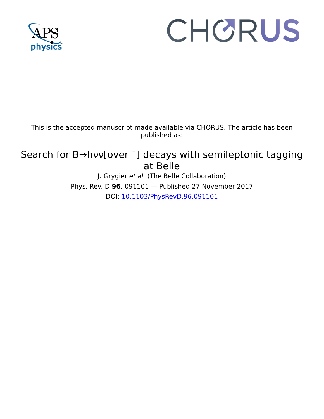

## CHORUS

This is the accepted manuscript made available via CHORUS. The article has been published as:

## Search for B→hνν[over <sup>-</sup>] decays with semileptonic tagging at Belle

J. Grygier et al. (The Belle Collaboration) Phys. Rev. D **96**, 091101 — Published 27 November 2017 DOI: [10.1103/PhysRevD.96.091101](http://dx.doi.org/10.1103/PhysRevD.96.091101)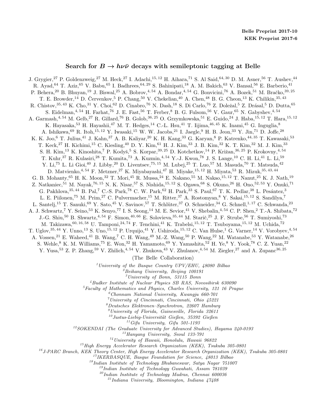## Search for  $B \to h \nu \bar{\nu}$  decays with semileptonic tagging at Belle

J. Grygier,<sup>27</sup> P. Goldenzweig,<sup>27</sup> M. Heck,<sup>27</sup> I. Adachi,<sup>15, 12</sup> H. Aihara,<sup>71</sup> S. Al Said,<sup>64, 30</sup> D. M. Asner,<sup>56</sup> T. Aushev,<sup>44</sup> R. Ayad, <sup>64</sup> T. Aziz, <sup>65</sup> V. Babu, <sup>65</sup> I. Badhrees, <sup>64, 29</sup> S. Bahinipati, <sup>18</sup> A. M. Bakich, <sup>63</sup> V. Bansal, <sup>56</sup> E. Barberio, <sup>41</sup> P. Behera,<sup>20</sup> B. Bhuyan,<sup>19</sup> J. Biswal,<sup>25</sup> A. Bobrov,<sup>4,54</sup> A. Bondar,<sup>4,54</sup> G. Bonvicini,<sup>76</sup> A. Bozek,<sup>51</sup> M. Bračko,<sup>39,25</sup> T. E. Browder, <sup>14</sup> D. Červenkov, <sup>5</sup> P. Chang, <sup>50</sup> V. Chekelian, <sup>40</sup> A. Chen, <sup>48</sup> B. G. Cheon, <sup>13</sup> K. Chilikin, <sup>35, 43</sup> R. Chistov,<sup>35, 43</sup> K. Cho,<sup>31</sup> Y. Choi,<sup>62</sup> D. Cinabro,<sup>76</sup> N. Dash,<sup>18</sup> S. Di Carlo,<sup>76</sup> Z. Doležal,<sup>5</sup> Z. Drásal,<sup>5</sup> D. Dutta,<sup>65</sup> S. Eidelman,<sup>4, 54</sup> H. Farhat,<sup>76</sup> J. E. Fast,<sup>56</sup> T. Ferber,<sup>8</sup> B. G. Fulsom,<sup>56</sup> V. Gaur,<sup>65</sup> N. Gabyshev,<sup>4, 54</sup> A. Garmash,<sup>4, 54</sup> M. Gelb,<sup>27</sup> R. Gillard,<sup>76</sup> B. Golob,<sup>36, 25</sup> O. Grzymkowska,<sup>51</sup> E. Guido,<sup>24</sup> J. Haba,<sup>15, 12</sup> T. Hara,<sup>15, 12</sup> K. Hayasaka,<sup>53</sup> H. Hayashii,<sup>47</sup> M. T. Hedges,<sup>14</sup> C.-L. Hsu,<sup>41</sup> T. Iijima,<sup>46,45</sup> K. Inami,<sup>45</sup> G. Inguglia,<sup>8</sup> A. Ishikawa,<sup>69</sup> R. Itoh,<sup>15, 12</sup> Y. Iwasaki,<sup>15</sup> W. W. Jacobs,<sup>21</sup> I. Jaegle,<sup>9</sup> H. B. Jeon,<sup>33</sup> Y. Jin,<sup>71</sup> D. Joffe,<sup>28</sup> K. K. Joo,<sup>6</sup> T. Julius,<sup>41</sup> J. Kahn,<sup>37</sup> A. B. Kaliyar,<sup>20</sup> K. H. Kang,<sup>33</sup> G. Karyan,<sup>8</sup> P. Katrenko,<sup>44, 35</sup> T. Kawasaki,<sup>53</sup> T. Keck,<sup>27</sup> H. Kichimi,<sup>15</sup> C. Kiesling,<sup>40</sup> D. Y. Kim,<sup>61</sup> H. J. Kim,<sup>33</sup> J. B. Kim,<sup>32</sup> K. T. Kim,<sup>32</sup> M. J. Kim,<sup>33</sup> S. H. Kim,<sup>13</sup> K. Kinoshita,<sup>7</sup> P. Kodyš,<sup>5</sup> S. Korpar,<sup>39, 25</sup> D. Kotchetkov,<sup>14</sup> P. Križan,<sup>36, 25</sup> P. Krokovny,<sup>4, 54</sup> T. Kuhr,<sup>37</sup> R. Kulasiri,<sup>28</sup> T. Kumita,<sup>73</sup> A. Kuzmin,<sup>4,54</sup> Y.-J. Kwon,<sup>78</sup> J. S. Lange,<sup>10</sup> C. H. Li,<sup>41</sup> L. Li,<sup>59</sup> Y. Li,<sup>75</sup> L. Li Gioi,<sup>40</sup> J. Libby,<sup>20</sup> D. Liventsev,<sup>75,15</sup> M. Lubej,<sup>25</sup> T. Luo,<sup>57</sup> M. Masuda,<sup>70</sup> T. Matsuda,<sup>42</sup> D. Matvienko,  $4,54$  F. Metzner,  $27$  K. Miyabayashi,  $47$  H. Miyake,  $15,12$  H. Miyata,  $53$  R. Mizuk,  $35,43,44$ G. B. Mohanty,<sup>65</sup> H. K. Moon,<sup>32</sup> T. Mori,<sup>45</sup> R. Mussa,<sup>24</sup> E. Nakano,<sup>55</sup> M. Nakao,<sup>15, 12</sup> T. Nanut,<sup>25</sup> K. J. Nath,<sup>19</sup> Z. Natkaniec,  ${}^{51}$  M. Nayak,<sup>76, 15</sup> N. K. Nisar,<sup>57</sup> S. Nishida,<sup>15, 12</sup> S. Ogawa,<sup>68</sup> S. Okuno,<sup>26</sup> H. Ono,<sup>52, 53</sup> Y. Onuki,<sup>71</sup> G. Pakhlova, <sup>35, 44</sup> B. Pal,<sup>7</sup> C.-S. Park, <sup>78</sup> C. W. Park, <sup>62</sup> H. Park, <sup>33</sup> S. Paul, <sup>67</sup> T. K. Pedlar, <sup>38</sup> L. Pesántez, <sup>3</sup> L. E. Piilonen,<sup>75</sup> M. Prim,<sup>27</sup> C. Pulvermacher,<sup>15</sup> M. Ritter,<sup>37</sup> A. Rostomyan,<sup>8</sup> Y. Sakai,<sup>15, 12</sup> S. Sandilya,<sup>7</sup> L. Santelj,<sup>15</sup> T. Sanuki,<sup>69</sup> Y. Sato,<sup>45</sup> V. Savinov,<sup>57</sup> T. Schlüter,<sup>37</sup> O. Schneider,<sup>34</sup> G. Schnell,<sup>1, 17</sup> C. Schwanda,<sup>23</sup> A. J. Schwartz,<sup>7</sup> Y. Seino,<sup>53</sup> K. Senyo,<sup>77</sup> I. S. Seong,<sup>14</sup> M. E. Sevior,<sup>41</sup> V. Shebalin,<sup>4,54</sup> C. P. Shen,<sup>2</sup> T.-A. Shibata,<sup>72</sup> J.-G. Shiu,<sup>50</sup> B. Shwartz,<sup>4, 54</sup> F. Simon,<sup>40, 66</sup> E. Solovieva,<sup>35, 44</sup> M. Starič,<sup>25</sup> J. F. Strube,<sup>56</sup> T. Sumiyoshi,<sup>73</sup> M. Takizawa,  $^{60, 16, 58}$  U. Tamponi,  $^{24, 74}$  F. Tenchini,  $^{41}$  K. Trabelsi,  $^{15, 12}$  T. Tsuboyama,  $^{15, 12}$  M. Uchida,  $^{72}$ T. Uglov,  $35,44$  Y. Unno,  $13$  S. Uno,  $15,12$  P. Urquijo,  $41$  Y. Ushiroda,  $15,12$  C. Van Hulse,  $1$  G. Varner,  $14$  V. Vorobyev,  $4,54$ A. Vossen,<sup>21</sup> E. Waheed,<sup>41</sup> B. Wang,<sup>7</sup> C. H. Wang,<sup>49</sup> M.-Z. Wang,<sup>50</sup> P. Wang,<sup>22</sup> M. Watanabe,<sup>53</sup> Y. Watanabe,<sup>26</sup> S. Wehle,  $8$  K. M. Williams,  $75$  E. Won,  $32$  H. Yamamoto,  $69$  Y. Yamashita,  $52$  H. Ye,  $8$  Y. Yook,  $78$  C. Z. Yuan,  $22$ Y. Yusa,<sup>53</sup> Z. P. Zhang,<sup>59</sup> V. Zhilich,<sup>4, 54</sup> V. Zhukova,<sup>43</sup> V. Zhulanov,<sup>4, 54</sup> M. Ziegler,<sup>27</sup> and A. Zupanc<sup>36, 25</sup> (The Belle Collaboration) <sup>1</sup> University of the Basque Country  $UPV/EHU$ , 48080 Bilbao <sup>2</sup>Beihang University, Beijing 100191  $^3\,$  University of Bonn, 53115 Bonn <sup>4</sup>Budker Institute of Nuclear Physics SB RAS, Novosibirsk 630090

 ${}^{5}$ Faculty of Mathematics and Physics, Charles University, 121 16 Prague

- $6$ Chonnam National University, Kwangju 660-701
- $<sup>7</sup> University of Cincinnati, Cincinnati, Ohio 45221$ </sup>
- $8$ Deutsches Elektronen–Synchrotron, 22607 Hamburg
- $<sup>9</sup> University of Florida, Gainesville, Florida 32611$ </sup>

 $10$ Justus-Liebig-Universität Gießen, 35392 Gießen

 $11$  Gifu University, Gifu 501-1193

<sup>12</sup>SOKENDAI (The Graduate University for Advanced Studies), Hayama 240-0193

<sup>13</sup>Hanyang University, Seoul 133-791

 $14$ University of Hawaii, Honolulu, Hawaii 96822

 $15$  High Energy Accelerator Research Organization (KEK), Tsukuba 305-0801

<sup>16</sup>J-PARC Branch, KEK Theory Center, High Energy Accelerator Research Organization (KEK), Tsukuba 305-0801

<sup>17</sup>IKERBASQUE, Basque Foundation for Science, 48013 Bilbao

 $18$ Indian Institute of Technology Bhubaneswar, Satya Nagar 751007

<sup>19</sup>Indian Institute of Technology Guwahati, Assam 781039

 $^{20}$ Indian Institute of Technology Madras, Chennai 600036

 $^{21}$ Indiana University, Bloomington, Indiana  $47408$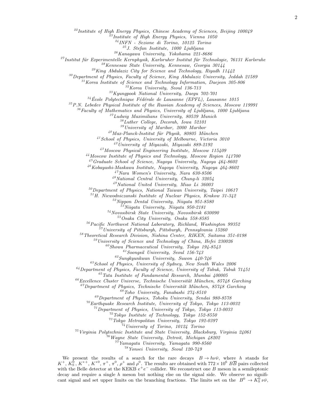<sup>22</sup>Institute of High Energy Physics, Chinese Academy of Sciences, Beijing 100049

 $^{23}$ Institute of High Energy Physics, Vienna 1050

<sup>24</sup>INFN - Sezione di Torino, 10125 Torino

 $^{25}$ J. Stefan Institute, 1000 Ljubljana

 $^{26}\!Kanaqawa$  University, Yokohama 221-8686

 $27$ Institut für Experimentelle Kernphysik, Karlsruher Institut für Technologie, 76131 Karlsruhe

<sup>28</sup>Kennesaw State University, Kennesaw, Georgia 30144

 $^{29}$ King Abdulaziz City for Science and Technology, Riyadh 11442

 $30$  Department of Physics, Faculty of Science, King Abdulaziz University, Jeddah 21589

 $31$ Korea Institute of Science and Technology Information, Daejeon 305-806

 $32$ Korea University, Seoul 136-713

 $33Kyungpook National University, Daegu$  702-701

 $34$ École Polytechnique Fédérale de Lausanne (EPFL), Lausanne 1015

 $35P.N.$  Lebedev Physical Institute of the Russian Academy of Sciences, Moscow 119991

 $36$ Faculty of Mathematics and Physics, University of Ljubljana, 1000 Ljubljana

 $37Ludwig$  Maximilians University, 80539 Munich

<sup>38</sup>Luther College, Decorah, Iowa 52101

<sup>39</sup>University of Maribor, 2000 Maribor

 $^{40}$ Max-Planck-Institut für Physik, 80805 München

 $^{41}$ School of Physics, University of Melbourne, Victoria 3010

 $^{42}$ University of Miyazaki, Miyazaki 889-2192

<sup>43</sup>Moscow Physical Engineering Institute, Moscow 115409

<sup>44</sup>Moscow Institute of Physics and Technology, Moscow Region 141700

 $^{45}G$ raduate School of Science, Nagoya University, Nagoya  $464-8602$ 

 $^{46}$ Kobayashi-Maskawa Institute, Nagoya University, Nagoya  $464-8602$ 

 $^{47}Nara$  Women's University, Nara 630-8506

<sup>48</sup>National Central University, Chung-li 32054

<sup>49</sup>National United University, Miao Li 36003

 $50$ Department of Physics, National Taiwan University, Taipei 10617

<sup>51</sup>H. Niewodniczanski Institute of Nuclear Physics, Krakow 31-342

 $52$ Nippon Dental University, Niigata 951-8580

<sup>53</sup>Niigata University, Niigata 950-2181

<sup>54</sup>Novosibirsk State University, Novosibirsk 630090

<sup>55</sup>Osaka City University, Osaka 558-8585

 $56$  Pacific Northwest National Laboratory, Richland, Washington 99352

 $7$ University of Pittsburgh, Pittsburgh, Pennsylvania 15260

<sup>58</sup>Theoretical Research Division, Nishina Center, RIKEN, Saitama 351-0198

 $59$ University of Science and Technology of China, Hefei 230026

 $^{60}$ Showa Pharmaceutical University, Tokyo 194-8543

 $61$ Soongsil University, Seoul 156-743

 $^{62}Sungkyunkwan$ University, Suwon 440-746

 $^{63}S$ chool of Physics, University of Sydney, New South Wales  $2006$ 

 $64$  Department of Physics, Faculty of Science, University of Tabuk, Tabuk  $71451$ 

 $^{65}$ Tata Institute of Fundamental Research, Mumbai 400005

 $^{66}$ Excellence Cluster Universe, Technische Universität München, 85748 Garching

 $^{67}$ Department of Physics, Technische Universität München, 85748 Garching

<sup>68</sup>Toho University, Funabashi 274-8510

 $^{69}$ Department of Physics, Tohoku University, Sendai 980-8578

 $70$ Earthquake Research Institute, University of Tokyo, Tokyo 113-0032

 $^{71}$ Department of Physics, University of Tokyo, Tokyo 113-0033

 $72$ Tokyo Institute of Technology, Tokyo 152-8550

<sup>73</sup>Tokyo Metropolitan University, Tokyo 192-0397

<sup>74</sup>University of Torino, 10124 Torino

 $^{75}$ Virginia Polytechnic Institute and State University, Blacksburg, Virginia 24061

 $^{76}$ Wayne State University, Detroit, Michigan  $48202$ 

 $7^{7}Ya$ magata University, Yamagata 990-8560

<sup>78</sup>Yonsei University, Seoul 120-749

We present the results of a search for the rare decays  $B \to h \nu \bar{\nu}$ , where h stands for  $K^+$ ,  $K^0$ ,  $K^{*+}$ ,  $K^{*0}$ ,  $\pi^+$ ,  $\pi^0$ ,  $\rho^+$  and  $\rho^0$ . The results are obtained with  $772 \times 10^6$   $B\overline{B}$  pairs collected with the Belle detector at the KEKB  $e^+e^-$  collider. We reconstruct one B meson in a semileptonic decay and require a single  $h$  meson but nothing else on the signal side. We observe no significant signal and set upper limits on the branching fractions. The limits set on the  $B^0 \to K_S^0 \nu \bar{\nu}$ ,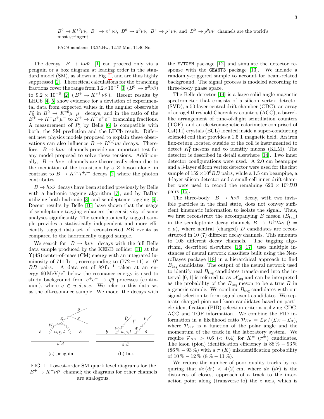$B^0 \to K^{*0} \nu \bar{\nu}$ ,  $B^+ \to \pi^+ \nu \bar{\nu}$ ,  $B^0 \to \pi^0 \nu \bar{\nu}$ ,  $B^+ \to \rho^+ \nu \bar{\nu}$ , and  $B^0 \to \rho^0 \nu \bar{\nu}$  channels are the world's most stringent.

PACS numbers: 13.25.Hw, 12.15.Mm, 14.40.Nd

The decays  $B \to h \nu \bar{\nu}$  [\[1\]](#page-7-0) can proceed only via a penguin or a box diagram at leading order in the standard model (SM), as shown in Fig. [1,](#page-3-0) and are thus highly suppressed [\[2\]](#page-7-1). Theoretical calculations for the branching fractions cover the range from  $1.2 \times 10^{-7}$  [\[3\]](#page-7-2)  $(B^0 \to \pi^0 \nu \bar{\nu})$ to  $9.2 \times 10^{-6}$  [\[2\]](#page-7-1)  $(B^+ \to K^{*+} \nu \bar{\nu})$ . Recent results by LHCb [\[4,](#page-7-3) [5\]](#page-7-4) show evidence for a deviation of experimental data from expected values in the angular observable  $P_5'$  in  $B^0 \to K^{*0} \mu^+ \mu^-$  decays, and in the ratio of the  $B^+ \to K^+ \mu^+ \mu^-$  to  $B^+ \to K^+ e^+ e^-$  branching fractions. A measurement of  $P'_5$  by Belle [\[6\]](#page-7-5) is compatible with both, the SM prediction and the LHCb result. Different new physics models proposed to explain these observations can also influence  $B \to K^{(*)} \nu \overline{\nu}$  decays. Therefore,  $B \to h \nu \bar{\nu}$  channels provide an important test for any model proposed to solve these tensions. Additionally,  $B \to h \nu \bar{\nu}$  channels are theoretically clean due to the mediation of the transition by a Z boson alone, in contrast to  $B \to K^{(*)} l^+ l^-$  decays [\[2\]](#page-7-1) where the photon contributes.

 $B \to h \nu \bar{\nu}$  decays have been studied previously by Belle with a hadronic tagging algorithm [\[7\]](#page-7-6), and by BaBar utilizing both hadronic [\[8\]](#page-7-7) and semileptonic tagging [\[9\]](#page-7-8). Recent results by Belle [\[10\]](#page-7-9) have shown that the usage of semileptonic tagging enhances the sensitivity of some analyses significantly. The semileptonically tagged sample provides a statistically independent and more efficiently tagged data set of reconstructed  $B\overline{B}$  events as compared to the hadronically tagged sample.

We search for  $B \to h \nu \bar{\nu}$  decays with the full Belle data sample produced by the KEKB collider [\[11\]](#page-7-10) at the  $\Upsilon(4S)$  center-of-mass (CM) energy with an integrated luminosity of 711 fb<sup>-1</sup>, corresponding to  $(772 \pm 11) \times 10^6$  $B\overline{B}$  pairs. A data set of 89 fb<sup>-1</sup> taken at an energy  $60 \,\mathrm{MeV}/c^2$  below the resonance energy is used to study background from  $e^+e^- \rightarrow q\overline{q}$  processes (continuum), where  $q \in u, d, s, c$ . We refer to this data set as the off-resonance sample. We model the decays with

<span id="page-3-0"></span>

FIG. 1: Lowest-order SM quark level diagrams for the  $B^+ \to K^+ \nu \bar{\nu}$  channel; the diagrams for other channels are analogous.

the EVTGEN package [\[12\]](#page-7-11) and simulate the detector response with the GEANT3 package [\[13\]](#page-7-12). We include a randomly-triggered sample to account for beam-related background. The signal process is modeled according to three-body phase space.

The Belle detector [\[14\]](#page-7-13) is a large-solid-angle magnetic spectrometer that consists of a silicon vertex detector (SVD), a 50-layer central drift chamber (CDC), an array of aerogel threshold Cherenkov counters (ACC), a barrellike arrangement of time-of-flight scintillation counters (TOF), and an electromagnetic calorimeter comprised of CsI(Tl) crystals (ECL) located inside a super-conducting solenoid coil that provides a 1.5 T magnetic field. An iron flux-return located outside of the coil is instrumented to detect  $K_{\text{L}}^{0}$  mesons and to identify muons (KLM). The detector is described in detail elsewhere [\[14\]](#page-7-13). Two inner detector configurations were used. A 2.0 cm beampipe and a 3-layer silicon vertex detector were used for the first sample of  $152 \times 10^6$  BB pairs, while a 1.5 cm beampipe, a 4-layer silicon detector and a small-cell inner drift chamber were used to record the remaining  $620 \times 10^6 BB$ pairs [\[15\]](#page-7-14).

The three-body  $B \to h \nu \bar{\nu}$  decay, with two invisible particles in the final state, does not convey sufficient kinematic information to isolate the signal. Thus, we first reconstruct the accompanying B meson  $(B<sub>tar</sub>)$ in the semileptonic decay channels  $B \to D^{(*)} l \nu_l$  ( $l =$  $e, \mu$ , where neutral (charged) D candidates are reconstructed in 10 (7) different decay channels. This amounts to 108 different decay channels. The tagging algorithm, described elsewhere [\[16,](#page-7-15) [17\]](#page-7-16), uses multiple instances of neural network classifiers built using the NeuroBayes package [\[18\]](#page-7-17) in a hierarchical approach to find  $B_{\text{tag}}$  candidates. The output of the neural network used to identify real  $B_{\text{tag}}$  candidates transformed into the interval [0, 1] is referred to as  $\mathcal{N}_{\text{tag}}$  and can be interpreted as the probability of the  $B_{\text{tag}}$  meson to be a true B in a generic sample. We combine  $B_{\text{tag}}$  candidates with our signal selection to form signal event candidates. We separate charged pion and kaon candidates based on particle identification (PID) selection criteria utilizing CDC, ACC and TOF information. We combine the PID information in a likelihood ratio  $\mathcal{P}_{K\pi} = \mathcal{L}_K/(\mathcal{L}_K + \mathcal{L}_{\pi}),$ where  $\mathcal{P}_{K\pi}$  is a function of the polar angle and the momentum of the track in the laboratory system. We require  $\mathcal{P}_{K\pi} > 0.6 \ (< 0.4)$  for  $K^{\pm}$   $(\pi^{\pm})$  candidates. The kaon (pion) identification efficiency is  $88\% - 93\%$  $(86\% - 93\%)$  with a  $\pi$  (K) misidentification probability of  $10\% - 12\%$  (8%  $- 11\%$ ).

We reduce the number of poor quality tracks by requiring that  $dz(dr) < 4(2)$  cm, where  $dz(dr)$  is the distances of closest approach of a track to the interaction point along (transverse to) the z axis, which is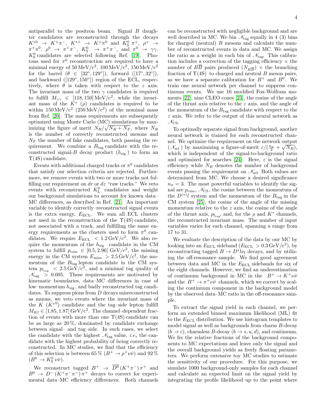antiparallel to the positron beam. Signal B daughter candidates are reconstructed through the decays  $K^{*0} \rightarrow K^+\pi^-$ ,  $K^{*+} \rightarrow K^+\pi^0$  and  $K^0_S \pi^+$ ,  $\rho^+ \rightarrow$  $\pi^+\pi^0$ ,  $\rho^0 \rightarrow \pi^+\pi^-$ ,  $K^0_S \rightarrow \pi^+\pi^-$ , and  $\pi^0 \rightarrow \gamma\gamma$ .  $K^0_S$  candidates are selected following Ref. [\[19\]](#page-7-18). Photons used for  $\pi^0$  reconstruction are required to have a minimal energy of  $50 \,\mathrm{MeV}/c^2$ ,  $100 \,\mathrm{MeV}/c^2$ ,  $150 \,\mathrm{MeV}/c^2$ for the barrel  $(\theta \in [32^{\circ}, 129^{\circ}])$ , forward  $([17^{\circ}, 32^{\circ}])$ , and backward  $([129°, 150°])$  region of the ECL, respectively, where  $\theta$  is taken with respect to the z axis. The invariant mass of the two  $\gamma$  candidates is required to fulfill  $M_{\gamma\gamma} \in [118, 150] \text{ MeV}/c^2$ , while the invariant mass of the  $K^*$  ( $\rho$ ) candidates is required to be within  $150 \,\mathrm{MeV}/c^2$   $(250 \,\mathrm{MeV}/c^2)$  of the nominal mass from Ref. [\[20\]](#page-7-19). The mass requirements are subsequently optimized using Monte Carlo (MC) simulations by maximizing the figure of merit  $N_R/\sqrt{N_R + N_F}$ , where  $N_R$ is the number of correctly reconstructed mesons and  $N_F$  the number of fake candidates, both passing the requirement. We combine a  $B_{\text{tag}}$  candidate with the reconstructed signal-B decay product  $(h_{sig})$  to form an  $\Upsilon(4S)$  candidate.

Events with additional charged tracks or  $\pi^0$  candidates that satisfy our selection criteria are rejected. Furthermore, we remove events with two or more tracks not fulfilling our requirement on  $dr$  or  $dz$  "raw tracks." We veto events with reconstructed  $K_{\text{L}}^{0}$  candidates and weight our background simulations to account for known data– MC differences, as described in Ref. [\[21\]](#page-7-20). An important variable to identify correctly–reconstructed signal events is the extra energy,  $E_{\text{ECL}}$ . We sum all ECL clusters not used in the reconstruction of the  $\Upsilon(4S)$  candidate, not associated with a track, and fulfilling the same energy requirements as the clusters used to form  $\pi^0$  candidates. We require  $E_{\text{ECL}}$  < 1.2 GeV/c<sup>2</sup>. We also require the momentum of the  $h_{sig}$  candidate in the CM system to fulfill  $p_{\text{cms}} \in [0.5, 2.96] \text{ GeV}/c^2$ , the missing energy in the CM system  $E_{\text{miss}} > 2.5 \,\text{GeV}/c^2$ , the momentum of the  $B_{\rm tag}$  lepton candidate in the CM system  $p_{l_{\text{tag}}}$  < 2.5 GeV/c<sup>2</sup>, and a minimal tag quality of  $\mathcal{N}_{\text{tag}} > 0.005$ . These requirements are motivated by kinematic boundaries, data–MC differences in case of low–momentum  $h_{\text{sig}}$ , and badly reconstructed tag candidates. To suppress pions from D decays misreconstructed as muons, we veto events where the invariant mass of the K  $(K^{*0})$  candidate and the tag-side lepton fulfill  $M_{Kl} \in [1.85, 1.87] \,\text{GeV/c}^2$ . The channel–dependent fraction of events with more than one  $\Upsilon(4S)$  candidate can be as large as 20 %, dominated by candidate exchange between signal– and tag–side. In such cases, we select the candidate with the highest  $\mathcal{N}_{\text{tag}}$  value, *i.e.*, the candidate with the highest probability of being correctly reconstructed. In MC studies, we find that the efficiency of this selection is between 65 %  $(B^+ \to \rho^+ \nu \bar{\nu})$  and 92 %  $(B^0 \to K^0_S \nu \bar{\nu}).$ 

We reconstruct tagged  $B^+ \to \overline{D^0}(K^+\pi^-)\pi^+$  and  $B^0 \to D^- (K^+\pi^-\pi^-)\pi^+$  decays to correct for experimental data–MC efficiency differences. Both channels can be reconstructed with negligible background and are well described in MC. We bin  $\mathcal{N}_{\text{tag}}$  equally in 4 (3) bins for charged (neutral)  $B$  mesons and calculate the number of reconstructed events in data and MC. We assign the ratio as a weight in each bin of  $\mathcal{N}_{\text{tag}}$ . This calibration includes a correction of the tagging efficiency  $\times$  the number of  $\overline{BB}$  pairs produced  $(N_{\overline{BB}}) \times$  the branching fraction of  $\Upsilon(4S)$  to charged and neutral B meson pairs, as we have a separate calibration for  $B^+$  and  $B^0$ . We train one neural network per channel to suppress continuum events. We use 16 modified Fox-Wolfram moments [\[22\]](#page-7-21), nine CLEO cones [\[23\]](#page-7-22), the cosine of the angle of the thrust axis relative to the z axis, and the angle of the momentum of the  $B_{\text{tag}}$  candidate with respect to the z axis. We refer to the output of this neural network as  $\mathcal{N}_{\text{CS}}$ .

To optimally separate signal from background, another neural network is trained for each reconstructed channel. We optimize the requirement on the network output ( $\mathcal{N}_{\text{sel}}$ ) by maximizing a figure-of-merit  $\varepsilon/(\frac{n_{\sigma}}{2} + \sqrt{N_B})$ , which is independent of the signal-to-background ratio and optimized for searches [\[24\]](#page-7-23). Here,  $\varepsilon$  is the signal efficiency while  $N_B$  denotes the number of background events passing the requirement on  $\mathcal{N}_{\text{sel}}$ . Both values are determined from MC. We choose a desired significance  $n_{\sigma}=3$ . The most powerful variables to identify the signal are  $p_{\text{cms}}$ ,  $\mathcal{N}_{\text{CS}}$ , the cosine between the momentum of the  $D^{(*)}l$  system and the momentum of the  $B_{\text{tag}}$  in the CM system [\[25\]](#page-7-24), the cosine of the angle of the missing momentum relative to the  $z$  axis, the cosine of the angle of the thrust axis,  $p_{l_{\text{tag}}}$ , and, for the  $\rho$  and  $K^*$  channels, the reconstructed invariant mass. The number of input variables varies for each channel, spanning a range from 17 to 31.

We evaluate the description of the data by our MC by looking into an  $E_{\text{ECL}}$  sideband  $(E_{\text{ECL}} > 0.3 \,\text{GeV/c}^2)$ , by reconstructing tagged  $B \to D^* l \nu_l$  decays, and by utilizing the off-resonance sample. We find good agreement between data and MC in the  $E_{\text{ECL}}$  sidebands for six of the eight channels. However, we find an underestimation of continuum background in MC in the  $B^+ \to K^+ \nu \bar{\nu}$ and the  $B^+ \to \pi^+ \nu \bar{\nu}$  channels, which we correct by scaling the continuum component in the background model by the observed data–MC ratio in the off-resonance sample.

To extract the signal yield in each channel, we perform an extended binned maximum likelihood (ML) fit to the  $E_{\text{ECL}}$  distribution. We use histogram templates to model signal as well as backgrounds from charm  $B$ -decay  $(b \rightarrow c)$ , charmless B-decay  $(b \rightarrow s, u, d)$ , and continuum. We fix the relative fractions of the background components to MC expectations and leave only the signal and the overall background yields as freely floating parameters. We perform extensive toy MC studies to estimate the sensitivity of our procedure. For this purpose, we simulate 1000 background-only samples for each channel and calculate an expected limit on the signal yield by integrating the profile likelihood up to the point where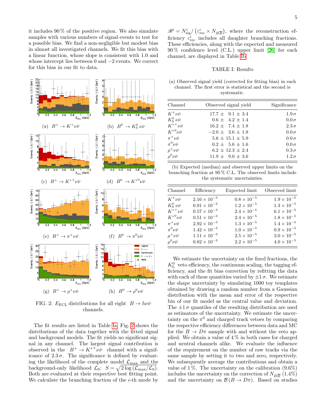it includes 90 % of the positive region. We also simulate samples with various numbers of signal events to test for a possible bias. We find a non-negligible but modest bias in almost all investigated channels. We fit this bias with a linear function, whose slope is consistent with 1.0 and whose intercept lies between 0 and −2 events. We correct for this bias in our fit to data.

<span id="page-5-1"></span>

FIG. 2:  $E_{\text{ECL}}$  distributions for all eight  $B \to h \nu \bar{\nu}$ channels.

The fit results are listed in Table [Ia;](#page-5-0) Fig. [2](#page-5-1) shows the distributions of the data together with the fitted signal and background models. The fit yields no significant signal in any channel. The largest signal contribution is observed in the  $B^+ \to K^{*+} \nu \bar{\nu}$  channel with a significance of  $2.3\sigma$ . The significance is defined by evaluating the likelihood of the complete model  $\mathcal{L}_{\text{max}}$  and the background-only likelihood  $\mathcal{L}_0$ :  $S = \sqrt{2 \log \left( \mathcal{L}_{\text{max}} / \mathcal{L}_0 \right)}$ . Both are evaluated at their respective best fitting point. We calculate the branching fraction of the  $i$ -th mode by

 $\mathscr{B}^i = N_{\text{sig}}^i / (\varepsilon_{\text{rec}}^i \times N_{B\overline{B}})$ , where the reconstruction efficiency  $\bar{\varepsilon}_{\text{rec}}^{i}$  includes all daughter branching fractions. These efficiencies, along with the expected and measured 90 % confidence level (C.L.) upper limit [\[26\]](#page-7-25) for each channel, are displayed in Table [Ib.](#page-5-0)

## TABLE I: Results

<span id="page-5-0"></span>(a) Observed signal yield (corrected for fitting bias) in each channel. The first error is statistical and the second is systematic.

| Channel                | Observed signal yield  | Significance  |  |  |
|------------------------|------------------------|---------------|--|--|
| $K^+\nu\bar{\nu}$      | $17.7 \pm 9.1 \pm 3.4$ | $1.9\,\sigma$ |  |  |
| $K^0_S \nu \bar{\nu}$  | $0.6 \pm 4.2 \pm 1.4$  | $0.0\,\sigma$ |  |  |
| $K^{*+}\nu\bar{\nu}$   | $16.2 \pm 7.4 \pm 1.8$ | $2.3\,\sigma$ |  |  |
| $K^{*0}\nu\bar{\nu}$   | $-2.0 \pm 3.6 \pm 1.8$ | $0.0\,\sigma$ |  |  |
| $\pi^+ \nu \bar{\nu}$  | $5.6 \pm 15.1 \pm 5.9$ | $0.0\,\sigma$ |  |  |
| $\pi^0 \nu \bar{\nu}$  | $0.2 \pm 5.6 \pm 1.6$  | $0.0\,\sigma$ |  |  |
| $\rho^+\nu\bar{\nu}$   | $6.2 \pm 12.3 \pm 2.4$ | $0.3\,\sigma$ |  |  |
| $\rho^0 \nu \bar{\nu}$ | $11.9 \pm 9.0 \pm 3.6$ | $1.2\,\sigma$ |  |  |

| (b) Expected (median) and observed upper limits on the        |
|---------------------------------------------------------------|
| branching fraction at $90\%$ C.L. The observed limits include |
| the systematic uncertainties.                                 |

| Channel                | Efficiency            | Expected limit       | Observed limit       |
|------------------------|-----------------------|----------------------|----------------------|
| $K^+\nu\bar\nu$        | $2.16 \times 10^{-3}$ | $0.8 \times 10^{-5}$ | $1.9 \times 10^{-5}$ |
| $K^0_S \nu \bar{\nu}$  | $0.91 \times 10^{-3}$ | $1.2 \times 10^{-5}$ | $1.3\times10^{-5}$   |
| $K^{*+}\nu\bar{\nu}$   | $0.57\times10^{-3}$   | $2.4 \times 10^{-5}$ | $6.1\times10^{-5}$   |
| $K^{*0}\nu\bar{\nu}$   | $0.51\times10^{-3}$   | $2.4 \times 10^{-5}$ | $1.8\times10^{-5}$   |
| $\pi^+ \nu \bar{\nu}$  | $2.92\times10^{-3}$   | $1.3\times10^{-5}$   | $1.4\times10^{-5}$   |
| $\pi^0\nu\bar{\nu}$    | $1.42\times10^{-3}$   | $1.0 \times 10^{-5}$ | $0.9\times10^{-5}$   |
| $\rho^+ \nu \bar{\nu}$ | $1.11 \times 10^{-3}$ | $2.5\times10^{-5}$   | $3.0\times10^{-5}$   |
| $\rho^0 \nu \bar{\nu}$ | $0.82 \times 10^{-3}$ | $2.2 \times 10^{-5}$ | $4.0 \times 10^{-5}$ |

We estimate the uncertainty on the fixed fractions, the  $K^0_{\rm L}\;$  veto efficiency, the continuum scaling, the tagging efficiency, and the fit bias correction by refitting the data with each of these quantities varied by  $\pm 1\sigma$ . We estimate the shape uncertainty by simulating 1000 toy templates obtained by drawing a random number from a Gaussian distribution with the mean and error of the respective bin of our fit model as the central value and deviation. The  $\pm 1\sigma$  quantiles of the resulting distribution are used as estimators of the uncertainty. We estimate the uncertainty on the  $\pi^0$  and charged track vetoes by comparing the respective efficiency differences between data and MC for the  $B \to D\pi$  sample with and without the veto applied. We obtain a value of  $4\%$  in both cases for charged and neutral channels alike. We evaluate the influence of the requirement on the number of raw tracks via the same sample by setting it to two and zero, respectively. We subsequently average the contributions and obtain a value of 1%. The uncertainty on the calibration  $(9.6\%)$ includes the uncertainty on the correction of  $N_{B\overline{B}}$  (1.4%) and the uncertainty on  $\mathcal{B}(B \to D\pi)$ . Based on studies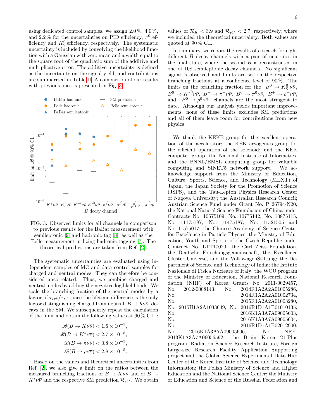using dedicated control samples, we assign 2.0 %, 4.0 %, and 2.2% for the uncertainties on PID efficiency,  $\pi^0$  efficiency and  $K^0_S$  efficiency, respectively. The systematic uncertainty is included by convolving the likelihood function with a Gaussian with zero mean and a width equal to the square root of the quadratic sum of the additive and multiplicative error. The additive uncertainty is defined as the uncertainty on the signal yield, and contributions are summarized in Table [II.](#page-7-26) A comparison of our results with previous ones is presented in Fig. [3.](#page-6-0)

<span id="page-6-0"></span>

FIG. 3: Observed limits for all channels in comparison to previous results for the BaBar measurement with semileptonic [\[9\]](#page-7-8) and hadronic tag [\[8\]](#page-7-7), as well as the Belle measurement utilizing hadronic tagging [\[7\]](#page-7-6). The theoretical predictions are taken from Ref. [\[2\]](#page-7-1).

The systematic uncertainties are evaluated using independent samples of MC and data control samples for charged and neutral modes. They can therefore be considered uncorrelated. Thus, we combine charged and neutral modes by adding the negative log likelihoods. We scale the branching fraction of the neutral modes by a factor of  $\tau_{B^+}/\tau_{B^0}$  since the lifetime difference is the only factor distinguishing charged from neutral  $B \to h \nu \bar{\nu}$  decays in the SM. We subsequently repeat the calculation of the limit and obtain the following values at 90 % C.L.:

$$
\mathcal{B}(B \to K\nu\overline{\nu}) < 1.6 \times 10^{-5},
$$
\n
$$
\mathcal{B}(B \to K^* \nu\overline{\nu}) < 2.7 \times 10^{-5},
$$
\n
$$
\mathcal{B}(B \to \pi\nu\overline{\nu}) < 0.8 \times 10^{-5},
$$
\n
$$
\mathcal{B}(B \to \rho\nu\overline{\nu}) < 2.8 \times 10^{-5}.
$$

Based on the values and theoretical uncertainties from Ref. [\[2\]](#page-7-1), we also give a limit on the ratios between the measured branching fractions of  $B \to K \nu \overline{\nu}$  and of  $B \to$  $K^*\nu\overline{\nu}$  and the respective SM prediction  $\mathcal{R}_{K^*}$ . We obtain values of  $\mathcal{R}_K < 3.9$  and  $\mathcal{R}_{K^*} < 2.7$ , respectively, where we included the theoretical uncertainty. Both values are quoted at  $90\%$  C.L.

In summary, we report the results of a search for eight different B decay channels with a pair of neutrinos in the final state, where the second  $B$  is reconstructed in one of 108 semileptonic decay channels. No significant signal is observed and limits are set on the respective branching fractions at a confidence level of 90 %. The limits on the branching fraction for the  $B^0 \to K^0_S \nu \bar{\nu}$ ,  $B^0 \to K^{*0} \nu \bar{\nu}, B^+ \to \pi^+ \nu \bar{\nu}, B^0 \to \pi^0 \nu \bar{\nu}, B^+ \to \rho^+ \nu \bar{\nu},$ and  $B^0 \to \rho^0 \nu \bar{\nu}$  channels are the most stringent to date. Although our analysis yields important improvements, none of these limits excludes SM predictions and all of them leave room for contributions from new physics.

We thank the KEKB group for the excellent operation of the accelerator; the KEK cryogenics group for the efficient operation of the solenoid; and the KEK computer group, the National Institute of Informatics, and the PNNL/EMSL computing group for valuable computing and SINET5 network support. We acknowledge support from the Ministry of Education, Culture, Sports, Science, and Technology (MEXT) of Japan, the Japan Society for the Promotion of Science (JSPS), and the Tau-Lepton Physics Research Center of Nagoya University; the Australian Research Council; Austrian Science Fund under Grant No. P 26794-N20; the National Natural Science Foundation of China under Contracts No. 10575109, No. 10775142, No. 10875115, No. 11175187, No. 11475187, No. 11521505 and No. 11575017; the Chinese Academy of Science Center for Excellence in Particle Physics; the Ministry of Education, Youth and Sports of the Czech Republic under Contract No. LTT17020; the Carl Zeiss Foundation, the Deutsche Forschungsgemeinschaft, the Excellence Cluster Universe, and the VolkswagenStiftung; the Department of Science and Technology of India; the Istituto Nazionale di Fisica Nucleare of Italy; the WCU program of the Ministry of Education, National Research Foundation (NRF) of Korea Grants No. 2011-0029457, No. 2012-0008143, No. 2014R1A2A2A01005286, No. 2014R1A2A2A01002734, No. 2015R1A2A2A01003280, No. 2015H1A2A1033649, No. 2016R1D1A1B01010135, No. 2016K1A3A7A09005603, No. 2016K1A3A7A09005604, No. 2016R1D1A1B02012900, No. 2016K1A3A7A09005606, No. NRF-2013K1A3A7A06056592; the Brain Korea 21-Plus

program, Radiation Science Research Institute, Foreign Large-size Research Facility Application Supporting project and the Global Science Experimental Data Hub Center of the Korea Institute of Science and Technology Information; the Polish Ministry of Science and Higher Education and the National Science Center; the Ministry of Education and Science of the Russian Federation and